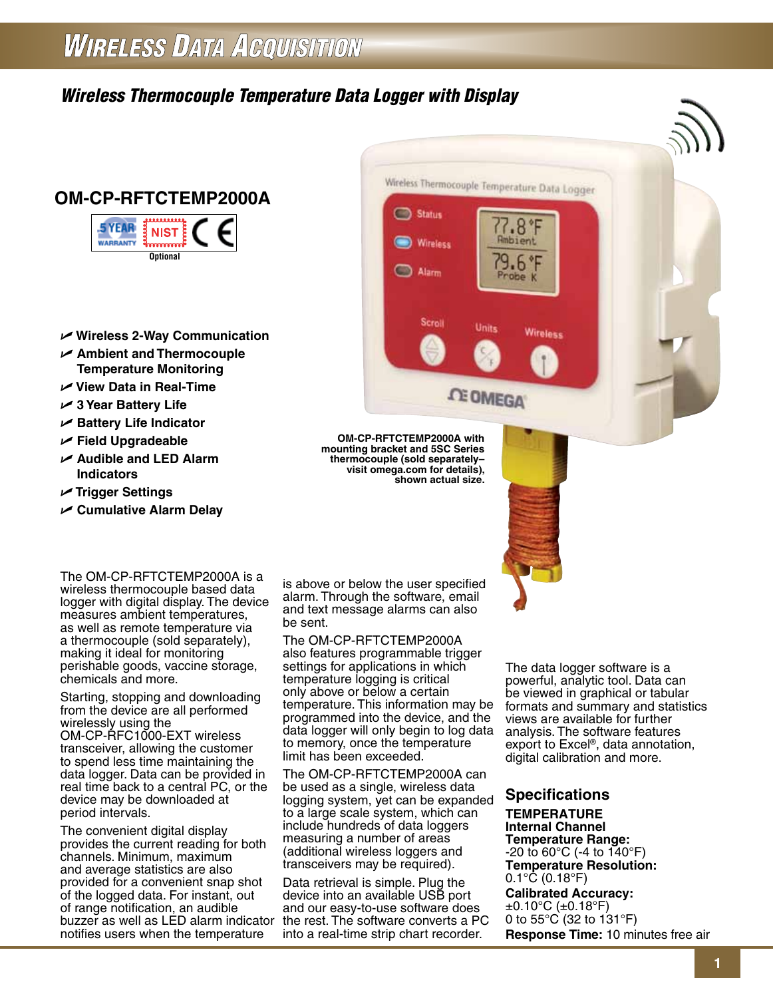# **WIRELESS DATA ACQUISITION**

# *Wireless Thermocouple Temperature Data Logger with Display*





- U **Wireless 2-Way Communication**
- U **Ambient and Thermocouple Temperature Monitoring**
- U **View Data in Real-Time**
- U **3 Year Battery Life**
- U **Battery Life Indicator**
- U **Field Upgradeable**
- U **Audible and LED Alarm Indicators**
- U **Trigger Settings**
- U **Cumulative Alarm Delay**

The OM-CP-RFTCTEMP2000A is a wireless thermocouple based data logger with digital display. The device measures ambient temperatures, as well as remote temperature via a thermocouple (sold separately), making it ideal for monitoring perishable goods, vaccine storage, chemicals and more.

Starting, stopping and downloading from the device are all performed wirelessly using the OM-CP-RFC1000-EXT wireless transceiver, allowing the customer to spend less time maintaining the data logger. Data can be provided in real time back to a central PC, or the device may be downloaded at period intervals.

The convenient digital display provides the current reading for both channels. Minimum, maximum and average statistics are also provided for a convenient snap shot of the logged data. For instant, out of range notification, an audible buzzer as well as LED alarm indicator the rest. The software converts a PC notifies users when the temperature

is above or below the user specified alarm. Through the software, email and text message alarms can also be sent.

**OM-CP-RFTCTEMP2000A with mounting bracket and 5SC Series thermocouple (sold separately– visit omega.com for details),** 

Status

Wireless

Scroll

 $\Box$  Alarm

**shown actual size.**

Wireless Thermocouple Temperature Data Logger

**Units** 

**CE OMEGA** 

 $.8<sup>°</sup>F$ 

Ambient

 $.6$ γg

Probe K

۰F

**Wireless** 

The OM-CP-RFTCTEMP2000A also features programmable trigger settings for applications in which temperature logging is critical only above or below a certain temperature. This information may be programmed into the device, and the data logger will only begin to log data to memory, once the temperature limit has been exceeded.

The OM-CP-RFTCTEMP2000A can be used as a single, wireless data logging system, yet can be expanded to a large scale system, which can include hundreds of data loggers measuring a number of areas (additional wireless loggers and transceivers may be required).

Data retrieval is simple. Plug the device into an available USB port and our easy-to-use software does into a real-time strip chart recorder. The data logger software is a powerful, analytic tool. Data can be viewed in graphical or tabular formats and summary and statistics views are available for further analysis. The software features export to Excel®, data annotation, digital calibration and more.

**Specifications Temperature Internal Channel Temperature Range:** -20 to 60°C (-4 to 140°F) **Temperature Resolution:**  $0.1^{\circ}$ C (0.18 $^{\circ}$ F) **Calibrated Accuracy:**  $±0.10°C$  ( $±0.18°C$ ) 0 to 55°C (32 to 131°F) **Response Time:** 10 minutes free air

**1**